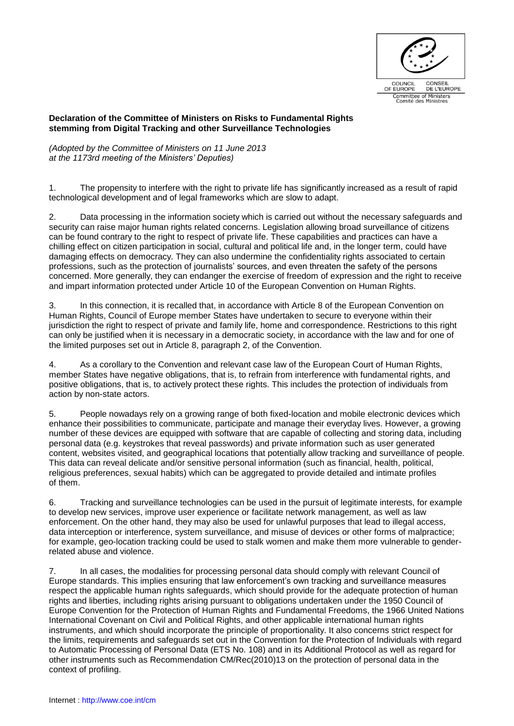

## **Declaration of the Committee of Ministers on Risks to Fundamental Rights stemming from Digital Tracking and other Surveillance Technologies**

*(Adopted by the Committee of Ministers on 11 June 2013 at the 1173rd meeting of the Ministers' Deputies)*

1. The propensity to interfere with the right to private life has significantly increased as a result of rapid technological development and of legal frameworks which are slow to adapt.

2. Data processing in the information society which is carried out without the necessary safeguards and security can raise major human rights related concerns. Legislation allowing broad surveillance of citizens can be found contrary to the right to respect of private life. These capabilities and practices can have a chilling effect on citizen participation in social, cultural and political life and, in the longer term, could have damaging effects on democracy. They can also undermine the confidentiality rights associated to certain professions, such as the protection of journalists' sources, and even threaten the safety of the persons concerned. More generally, they can endanger the exercise of freedom of expression and the right to receive and impart information protected under Article 10 of the European Convention on Human Rights.

3. In this connection, it is recalled that, in accordance with Article 8 of the European Convention on Human Rights, Council of Europe member States have undertaken to secure to everyone within their jurisdiction the right to respect of private and family life, home and correspondence. Restrictions to this right can only be justified when it is necessary in a democratic society, in accordance with the law and for one of the limited purposes set out in Article 8, paragraph 2, of the Convention.

4. As a corollary to the Convention and relevant case law of the European Court of Human Rights, member States have negative obligations, that is, to refrain from interference with fundamental rights, and positive obligations, that is, to actively protect these rights. This includes the protection of individuals from action by non-state actors.

5. People nowadays rely on a growing range of both fixed-location and mobile electronic devices which enhance their possibilities to communicate, participate and manage their everyday lives. However, a growing number of these devices are equipped with software that are capable of collecting and storing data, including personal data (e.g. keystrokes that reveal passwords) and private information such as user generated content, websites visited, and geographical locations that potentially allow tracking and surveillance of people. This data can reveal delicate and/or sensitive personal information (such as financial, health, political, religious preferences, sexual habits) which can be aggregated to provide detailed and intimate profiles of them.

6. Tracking and surveillance technologies can be used in the pursuit of legitimate interests, for example to develop new services, improve user experience or facilitate network management, as well as law enforcement. On the other hand, they may also be used for unlawful purposes that lead to illegal access, data interception or interference, system surveillance, and misuse of devices or other forms of malpractice; for example, geo-location tracking could be used to stalk women and make them more vulnerable to genderrelated abuse and violence.

7. In all cases, the modalities for processing personal data should comply with relevant Council of Europe standards. This implies ensuring that law enforcement's own tracking and surveillance measures respect the applicable human rights safeguards, which should provide for the adequate protection of human rights and liberties, including rights arising pursuant to obligations undertaken under the 1950 Council of Europe Convention for the Protection of Human Rights and Fundamental Freedoms, the 1966 United Nations International Covenant on Civil and Political Rights, and other applicable international human rights instruments, and which should incorporate the principle of proportionality. It also concerns strict respect for the limits, requirements and safeguards set out in the Convention for the Protection of Individuals with regard to Automatic Processing of Personal Data (ETS No. 108) and in its Additional Protocol as well as regard for other instruments such as Recommendation CM/Rec(2010)13 on the protection of personal data in the context of profiling.